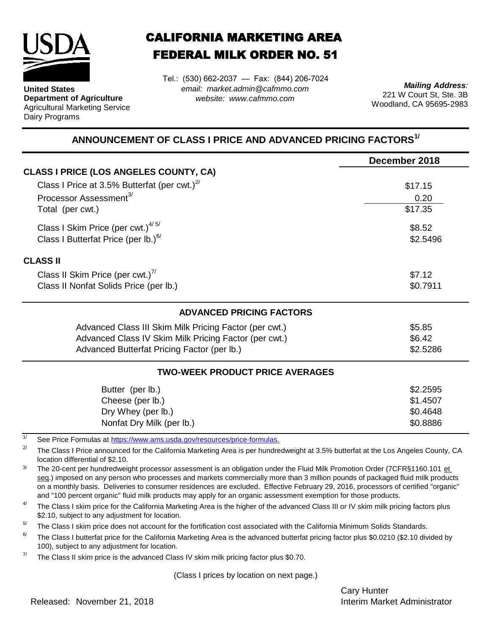

**United States Department of Agriculture** Agricultural Marketing Service Dairy Programs

## CALIFORNIA MARKETING AREA FEDERAL MILK ORDER NO. 51

Tel.: (530) 662-2037 — Fax: (844) 206-7024 *email: market.admin@cafmmo.com website: www.cafmmo.com*

*Mailing Address:* 221 W Court St, Ste. 3B Woodland, CA 95695-2983

## **ANNOUNCEMENT OF CLASS I PRICE AND ADVANCED PRICING FACTORS1/**

|                                                                          | December 2018 |  |  |
|--------------------------------------------------------------------------|---------------|--|--|
| <b>CLASS I PRICE (LOS ANGELES COUNTY, CA)</b>                            |               |  |  |
| Class I Price at 3.5% Butterfat (per cwt.) $2^7$                         | \$17.15       |  |  |
| Processor Assessment <sup>3/</sup>                                       | 0.20          |  |  |
| Total (per cwt.)                                                         | \$17.35       |  |  |
| Class I Skim Price (per cwt.) $4/5/$                                     | \$8.52        |  |  |
| Class I Butterfat Price (per lb.) <sup>6/</sup>                          | \$2.5496      |  |  |
| <b>CLASS II</b>                                                          |               |  |  |
| Class II Skim Price (per cwt.) <sup>7/</sup>                             | \$7.12        |  |  |
| Class II Nonfat Solids Price (per lb.)                                   | \$0.7911      |  |  |
| <b>ADVANCED PRICING FACTORS</b>                                          |               |  |  |
| Advanced Class III Skim Milk Pricing Factor (per cwt.)                   | \$5.85        |  |  |
| Advanced Class IV Skim Milk Pricing Factor (per cwt.)                    | \$6.42        |  |  |
| Advanced Butterfat Pricing Factor (per lb.)                              | \$2.5286      |  |  |
| <b>TWO-WEEK PRODUCT PRICE AVERAGES</b>                                   |               |  |  |
| Butter (per lb.)                                                         | \$2.2595      |  |  |
| Cheese (per lb.)                                                         | \$1.4507      |  |  |
| Dry Whey (per lb.)                                                       | \$0.4648      |  |  |
| Nonfat Dry Milk (per lb.)                                                | \$0.8886      |  |  |
| See Price Formulas at https://www.ams.usda.gov/resources/price-formulas. |               |  |  |

2/ The Class I Price announced for the California Marketing Area is per hundredweight at 3.5% butterfat at the Los Angeles County, CA location differential of \$2.10.

3/ The 20-cent per hundredweight processor assessment is an obligation under the Fluid Milk Promotion Order (7CFR§1160.101 et seg.) imposed on any person who processes and markets commercially more than 3 million pounds of packaged fluid milk products on a monthly basis. Deliveries to consumer residences are excluded. Effective February 29, 2016, processors of certified "organic" and "100 percent organic" fluid milk products may apply for an organic assessment exemption for those products.

4/ The Class I skim price for the California Marketing Area is the higher of the advanced Class III or IV skim milk pricing factors plus \$2.10, subject to any adjustment for location.

 $5/$ The Class I skim price does not account for the fortification cost associated with the California Minimum Solids Standards.

6/ The Class I butterfat price for the California Marketing Area is the advanced butterfat pricing factor plus \$0.0210 (\$2.10 divided by 100), subject to any adjustment for location.

7/ The Class II skim price is the advanced Class IV skim milk pricing factor plus \$0.70.

(Class I prices by location on next page.)